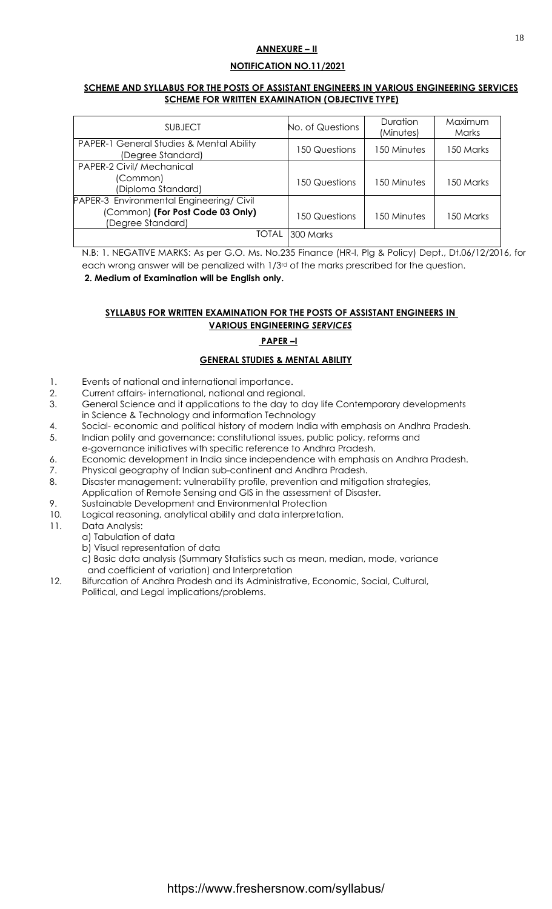## **ANNEXURE – II**

## **NOTIFICATION NO.11/2021**

## **SCHEME AND SYLLABUS FOR THE POSTS OF ASSISTANT ENGINEERS IN VARIOUS ENGINEERING SERVICES SCHEME FOR WRITTEN EXAMINATION (OBJECTIVE TYPE)**

| <b>SUBJECT</b>                                                | No. of Questions | <b>Duration</b><br>(Minutes) | Maximum<br><b>Marks</b> |
|---------------------------------------------------------------|------------------|------------------------------|-------------------------|
| PAPER-1 General Studies & Mental Ability<br>(Degree Standard) | 150 Questions    | 150 Minutes                  | 150 Marks               |
| PAPER-2 Civil/ Mechanical                                     |                  |                              |                         |
| (Common)                                                      | 150 Questions    | 150 Minutes                  | 150 Marks               |
| (Diploma Standard)                                            |                  |                              |                         |
| PAPER-3 Environmental Engineering/ Civil                      |                  |                              |                         |
| (Common) (For Post Code 03 Only)                              | 150 Questions    | 150 Minutes                  | 150 Marks               |
| (Degree Standard)                                             |                  |                              |                         |
| <b>TOTAL</b>                                                  | 300 Marks        |                              |                         |

N.B: 1. NEGATIVE MARKS: As per G.O. Ms. No.235 Finance (HR-I, Plg & Policy) Dept., Dt.06/12/2016, for each wrong answer will be penalized with 1/3rd of the marks prescribed for the question.

## **2. Medium of Examination will be English only.**

# **SYLLABUS FOR WRITTEN EXAMINATION FOR THE POSTS OF ASSISTANT ENGINEERS IN VARIOUS ENGINEERING** *SERVICES*

## **PAPER –I**

## **GENERAL STUDIES & MENTAL ABILITY**

- 1. Events of national and international importance.
- 2. Current affairs- international, national and regional.
- 3. General Science and it applications to the day to day life Contemporary developments in Science & Technology and information Technology
- 4. Social- economic and political history of modern India with emphasis on Andhra Pradesh.
- 5. Indian polity and governance: constitutional issues, public policy, reforms and e-governance initiatives with specific reference to Andhra Pradesh.
- 6. Economic development in India since independence with emphasis on Andhra Pradesh.
- 7. Physical geography of Indian sub-continent and Andhra Pradesh.
- 8. Disaster management: vulnerability profile, prevention and mitigation strategies,
- Application of Remote Sensing and GIS in the assessment of Disaster.
- 9. Sustainable Development and Environmental Protection
- 10. Logical reasoning, analytical ability and data interpretation.
- 11. Data Analysis:
	- a) Tabulation of data
		- b) Visual representation of data
		- c) Basic data analysis (Summary Statistics such as mean, median, mode, variance and coefficient of variation) and Interpretation
- 12. Bifurcation of Andhra Pradesh and its Administrative, Economic, Social, Cultural, Political, and Legal implications/problems.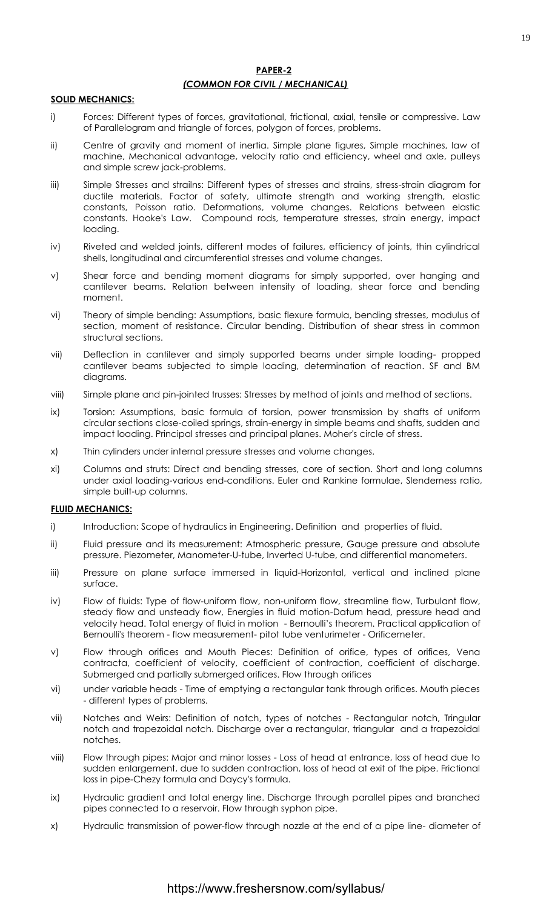## **PAPER-2** *(COMMON FOR CIVIL / MECHANICAL)*

#### **SOLID MECHANICS:**

- i) Forces: Different types of forces, gravitational, frictional, axial, tensile or compressive. Law of Parallelogram and triangle of forces, polygon of forces, problems.
- ii) Centre of gravity and moment of inertia. Simple plane figures, Simple machines, law of machine, Mechanical advantage, velocity ratio and efficiency, wheel and axle, pulleys and simple screw jack-problems.
- iii) Simple Stresses and strailns: Different types of stresses and strains, stress-strain diagram for ductile materials. Factor of safety, ultimate strength and working strength, elastic constants, Poisson ratio. Deformations, volume changes. Relations between elastic constants. Hooke's Law. Compound rods, temperature stresses, strain energy, impact loading.
- iv) Riveted and welded joints, different modes of failures, efficiency of joints, thin cylindrical shells, longitudinal and circumferential stresses and volume changes.
- v) Shear force and bending moment diagrams for simply supported, over hanging and cantilever beams. Relation between intensity of loading, shear force and bending moment.
- vi) Theory of simple bending: Assumptions, basic flexure formula, bending stresses, modulus of section, moment of resistance. Circular bending. Distribution of shear stress in common structural sections.
- vii) Deflection in cantilever and simply supported beams under simple loading- propped cantilever beams subjected to simple loading, determination of reaction. SF and BM diagrams.
- viii) Simple plane and pin-jointed trusses: Stresses by method of joints and method of sections.
- ix) Torsion: Assumptions, basic formula of torsion, power transmission by shafts of uniform circular sections close-coiled springs, strain-energy in simple beams and shafts, sudden and impact loading. Principal stresses and principal planes. Moher's circle of stress.
- x) Thin cylinders under internal pressure stresses and volume changes.
- xi) Columns and struts: Direct and bending stresses, core of section. Short and long columns under axial loading-various end-conditions. Euler and Rankine formulae, Slenderness ratio, simple built-up columns.

#### **FLUID MECHANICS:**

- i) Introduction: Scope of hydraulics in Engineering. Definition and properties of fluid.
- ii) Fluid pressure and its measurement: Atmospheric pressure, Gauge pressure and absolute pressure. Piezometer, Manometer-U-tube, Inverted U-tube, and differential manometers.
- iii) Pressure on plane surface immersed in liquid-Horizontal, vertical and inclined plane surface.
- iv) Flow of fluids: Type of flow-uniform flow, non-uniform flow, streamline flow, Turbulant flow, steady flow and unsteady flow, Energies in fluid motion-Datum head, pressure head and velocity head. Total energy of fluid in motion - Bernoulli's theorem. Practical application of Bernoulli's theorem - flow measurement- pitot tube venturimeter - Orificemeter.
- v) Flow through orifices and Mouth Pieces: Definition of orifice, types of orifices, Vena contracta, coefficient of velocity, coefficient of contraction, coefficient of discharge. Submerged and partially submerged orifices. Flow through orifices
- vi) under variable heads Time of emptying a rectangular tank through orifices. Mouth pieces - different types of problems.
- vii) Notches and Weirs: Definition of notch, types of notches Rectangular notch, Tringular notch and trapezoidal notch. Discharge over a rectangular, triangular and a trapezoidal notches.
- viii) Flow through pipes: Major and minor losses Loss of head at entrance, loss of head due to sudden enlargement, due to sudden contraction, loss of head at exit of the pipe. Frictional loss in pipe-Chezy formula and Daycy's formula.
- ix) Hydraulic gradient and total energy line. Discharge through parallel pipes and branched pipes connected to a reservoir. Flow through syphon pipe.
- x) Hydraulic transmission of power-flow through nozzle at the end of a pipe line- diameter of

# https://www.freshersnow.com/syllabus/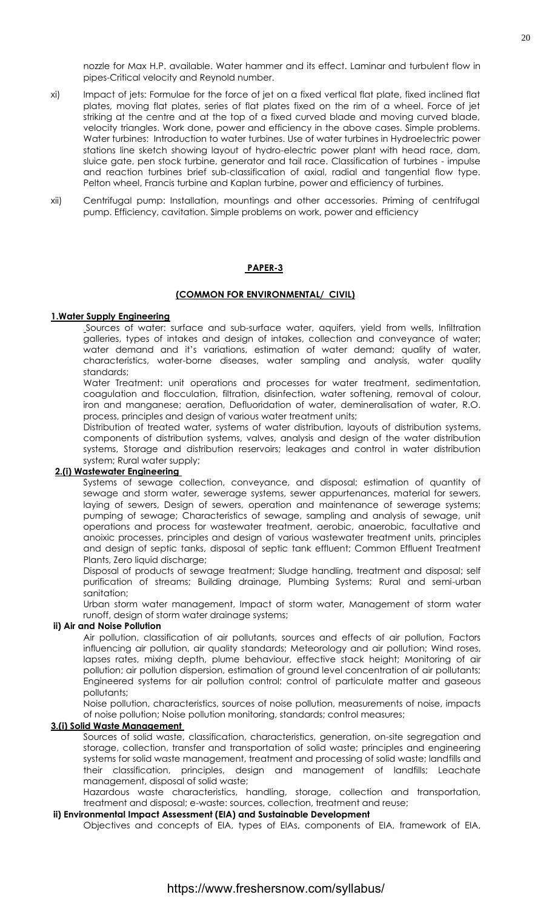nozzle for Max H.P. available. Water hammer and its effect. Laminar and turbulent flow in pipes-Critical velocity and Reynold number.

- xi) Impact of jets: Formulae for the force of jet on a fixed vertical flat plate, fixed inclined flat plates, moving flat plates, series of flat plates fixed on the rim of a wheel. Force of jet striking at the centre and at the top of a fixed curved blade and moving curved blade, velocity triangles. Work done, power and efficiency in the above cases. Simple problems. Water turbines: Introduction to water turbines. Use of water turbines in Hydroelectric power stations line sketch showing layout of hydro-electric power plant with head race, dam, sluice gate, pen stock turbine, generator and tail race. Classification of turbines - impulse and reaction turbines brief sub-classification of axial, radial and tangential flow type. Pelton wheel, Francis turbine and Kaplan turbine, power and efficiency of turbines.
- xii) Centrifugal pump: Installation, mountings and other accessories. Priming of centrifugal pump. Efficiency, cavitation. Simple problems on work, power and efficiency

#### **PAPER-3**

#### **(COMMON FOR ENVIRONMENTAL/ CIVIL)**

#### **1.Water Supply Engineering**

Sources of water: surface and sub-surface water, aquifers, yield from wells, Infiltration galleries, types of intakes and design of intakes, collection and conveyance of water; water demand and it's variations, estimation of water demand; quality of water, characteristics, water-borne diseases, water sampling and analysis, water quality standards;

Water Treatment: unit operations and processes for water treatment, sedimentation, coagulation and flocculation, filtration, disinfection, water softening, removal of colour, iron and manganese; aeration, Defluoridation of water, demineralisation of water, R.O. process, principles and design of various water treatment units;

Distribution of treated water, systems of water distribution, layouts of distribution systems, components of distribution systems, valves, analysis and design of the water distribution systems, Storage and distribution reservoirs; leakages and control in water distribution system; Rural water supply;

## **2.(i) Wastewater Engineering**

Systems of sewage collection, conveyance, and disposal; estimation of quantity of sewage and storm water, sewerage systems, sewer appurtenances, material for sewers, laying of sewers, Design of sewers, operation and maintenance of sewerage systems; pumping of sewage; Characteristics of sewage, sampling and analysis of sewage, unit operations and process for wastewater treatment, aerobic, anaerobic, facultative and anoixic processes, principles and design of various wastewater treatment units, principles and design of septic tanks, disposal of septic tank effluent; Common Effluent Treatment Plants, Zero liquid discharge;

Disposal of products of sewage treatment; Sludge handling, treatment and disposal; self purification of streams; Building drainage, Plumbing Systems; Rural and semi-urban sanitation;

Urban storm water management, Impact of storm water, Management of storm water runoff, design of storm water drainage systems;

#### **ii) Air and Noise Pollution**

Air pollution, classification of air pollutants, sources and effects of air pollution, Factors influencing air pollution, air quality standards; Meteorology and air pollution; Wind roses, lapses rates, mixing depth, plume behaviour, effective stack height; Monitoring of air pollution; air pollution dispersion, estimation of ground level concentration of air pollutants; Engineered systems for air pollution control: control of particulate matter and gaseous pollutants;

Noise pollution, characteristics, sources of noise pollution, measurements of noise, impacts of noise pollution; Noise pollution monitoring, standards; control measures;

#### **3.(i) Solid Waste Management**

Sources of solid waste, classification, characteristics, generation, on-site segregation and storage, collection, transfer and transportation of solid waste; principles and engineering systems for solid waste management, treatment and processing of solid waste; landfills and their classification, principles, design and management of landfills; Leachate management, disposal of solid waste;

Hazardous waste characteristics, handling, storage, collection and transportation, treatment and disposal; e-waste: sources, collection, treatment and reuse;

#### **ii) Environmental Impact Assessment (EIA) and Sustainable Development**

Objectives and concepts of EIA, types of EIAs, components of EIA, framework of EIA,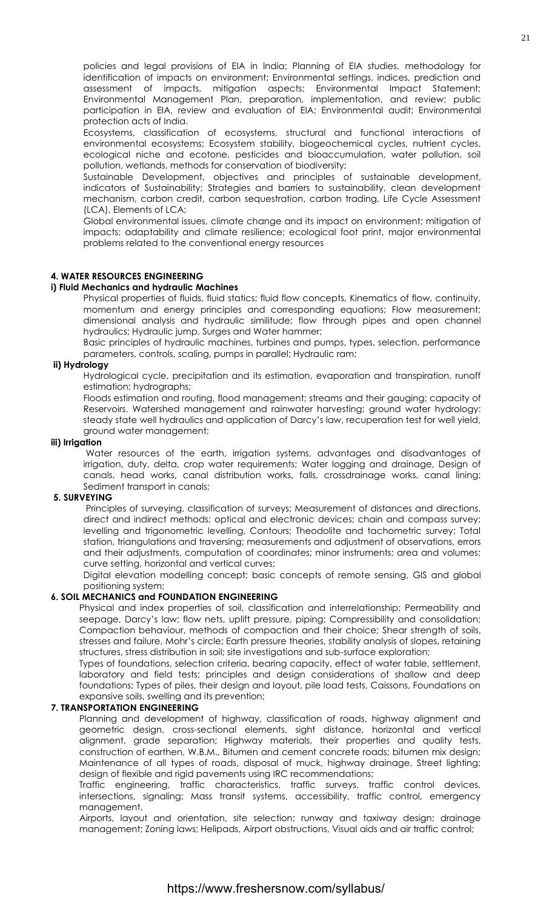policies and legal provisions of EIA in India; Planning of EIA studies, methodology for identification of impacts on environment; Environmental settings, indices, prediction and assessment of impacts, mitigation aspects; Environmental Impact Statement; Environmental Management Plan, preparation, implementation, and review; public participation in EIA, review and evaluation of EIA; Environmental audit; Environmental protection acts of India.

Ecosystems, classification of ecosystems, structural and functional interactions of environmental ecosystems; Ecosystem stability, biogeochemical cycles, nutrient cycles, ecological niche and ecotone, pesticides and bioaccumulation, water pollution, soil pollution, wetlands, methods for conservation of biodiversity;

Sustainable Development, objectives and principles of sustainable development, indicators of Sustainability; Strategies and barriers to sustainability, clean development mechanism, carbon credit, carbon sequestration, carbon trading, Life Cycle Assessment (LCA), Elements of LCA;

Global environmental issues, climate change and its impact on environment; mitigation of impacts; adaptability and climate resilience; ecological foot print, major environmental problems related to the conventional energy resources

## **4. WATER RESOURCES ENGINEERING**

## **i) Fluid Mechanics and hydraulic Machines**

Physical properties of fluids, fluid statics; fluid flow concepts, Kinematics of flow, continuity, momentum and energy principles and corresponding equations; Flow measurement; dimensional analysis and hydraulic similitude; flow through pipes and open channel hydraulics; Hydraulic jump, Surges and Water hammer;

Basic principles of hydraulic machines, turbines and pumps, types, selection, performance parameters, controls, scaling, pumps in parallel; Hydraulic ram;

#### **ii) Hydrology**

Hydrological cycle, precipitation and its estimation, evaporation and transpiration, runoff estimation; hydrographs;

Floods estimation and routing, flood management; streams and their gauging; capacity of Reservoirs. Watershed management and rainwater harvesting; ground water hydrology: steady state well hydraulics and application of Darcy's law, recuperation test for well yield, ground water management;

#### **iii) Irrigation**

Water resources of the earth, irrigation systems, advantages and disadvantages of irrigation, duty, delta, crop water requirements; Water logging and drainage, Design of canals, head works, canal distribution works, falls, crossdrainage works, canal lining; Sediment transport in canals;

#### **5. SURVEYING**

Principles of surveying, classification of surveys; Measurement of distances and directions, direct and indirect methods; optical and electronic devices; chain and compass survey; levelling and trigonometric levelling, Contours; Theodolite and tachometric survey; Total station, triangulations and traversing; measurements and adjustment of observations, errors and their adjustments, computation of coordinates; minor instruments; area and volumes; curve setting, horizontal and vertical curves;

Digital elevation modelling concept; basic concepts of remote sensing, GIS and global positioning system;

## **6. SOIL MECHANICS and FOUNDATION ENGINEERING**

Physical and index properties of soil, classification and interrelationship; Permeability and seepage, Darcy's law; flow nets, uplift pressure, piping; Compressibility and consolidation; Compaction behaviour, methods of compaction and their choice; Shear strength of soils, stresses and failure, Mohr's circle; Earth pressure theories, stability analysis of slopes, retaining structures, stress distribution in soil; site investigations and sub-surface exploration;

Types of foundations, selection criteria, bearing capacity, effect of water table, settlement, laboratory and field tests; principles and design considerations of shallow and deep foundations; Types of piles, their design and layout, pile load tests, Caissons, Foundations on expansive soils, swelling and its prevention;

#### **7. TRANSPORTATION ENGINEERING**

Planning and development of highway, classification of roads, highway alignment and geometric design, cross-sectional elements, sight distance, horizontal and vertical alignment, grade separation; Highway materials, their properties and quality tests, construction of earthen, W.B.M., Bitumen and cement concrete roads; bitumen mix design; Maintenance of all types of roads, disposal of muck, highway drainage, Street lighting; design of flexible and rigid pavements using IRC recommendations;

Traffic engineering, traffic characteristics, traffic surveys, traffic control devices, intersections, signaling; Mass transit systems, accessibility, traffic control, emergency management.

Airports, layout and orientation, site selection; runway and taxiway design; drainage management; Zoning laws; Helipads, Airport obstructions, Visual aids and air traffic control;